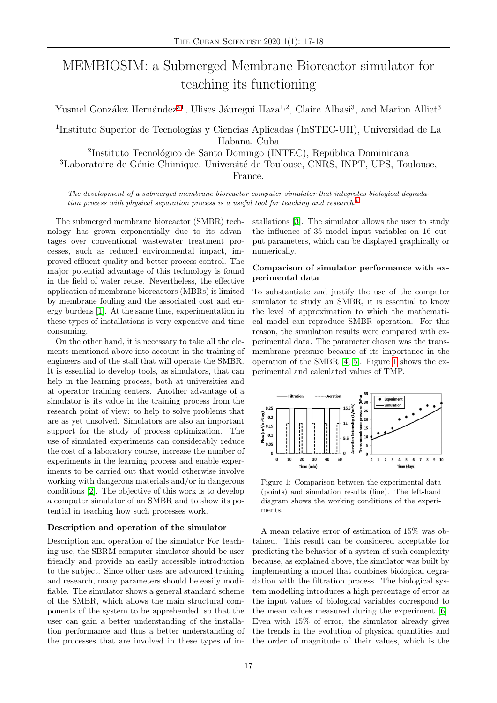# MEMBIOSIM: a Submerged Membrane Bioreactor simulator for teaching its functioning

Yusmel González Hernández<sup>[a1](#page-1-0)</sup>, Ulises Jáuregui Haza<sup>1,2</sup>, Claire Albasi<sup>3</sup>, and Marion Alliet<sup>3</sup>

<sup>1</sup>Instituto Superior de Tecnologías y Ciencias Aplicadas (InSTEC-UH), Universidad de La Habana, Cuba

<sup>2</sup>Instituto Tecnológico de Santo Domingo (INTEC), República Dominicana <sup>3</sup>Laboratoire de Génie Chimique, Université de Toulouse, CNRS, INPT, UPS, Toulouse,

France.

The development of a submerged membrane bioreactor computer simulator that integrates biological degradation process with physical separation process is a useful tool for teaching and research.<sup>[b](#page-1-1)</sup>

The submerged membrane bioreactor (SMBR) technology has grown exponentially due to its advantages over conventional wastewater treatment processes, such as reduced environmental impact, improved effluent quality and better process control. The major potential advantage of this technology is found in the field of water reuse. Nevertheless, the effective application of membrane bioreactors (MBRs) is limited by membrane fouling and the associated cost and energy burdens [\[1\]](#page-1-2). At the same time, experimentation in these types of installations is very expensive and time consuming.

On the other hand, it is necessary to take all the elements mentioned above into account in the training of engineers and of the staff that will operate the SMBR. It is essential to develop tools, as simulators, that can help in the learning process, both at universities and at operator training centers. Another advantage of a simulator is its value in the training process from the research point of view: to help to solve problems that are as yet unsolved. Simulators are also an important support for the study of process optimization. The use of simulated experiments can considerably reduce the cost of a laboratory course, increase the number of experiments in the learning process and enable experiments to be carried out that would otherwise involve working with dangerous materials and/or in dangerous conditions [\[2\]](#page-1-3). The objective of this work is to develop a computer simulator of an SMBR and to show its potential in teaching how such processes work.

### Description and operation of the simulator

Description and operation of the simulator For teaching use, the SBRM computer simulator should be user friendly and provide an easily accessible introduction to the subject. Since other uses are advanced training and research, many parameters should be easily modifiable. The simulator shows a general standard scheme of the SMBR, which allows the main structural components of the system to be apprehended, so that the user can gain a better understanding of the installation performance and thus a better understanding of the processes that are involved in these types of installations [\[3\]](#page-1-4). The simulator allows the user to study the influence of 35 model input variables on 16 output parameters, which can be displayed graphically or numerically.

# Comparison of simulator performance with experimental data

To substantiate and justify the use of the computer simulator to study an SMBR, it is essential to know the level of approximation to which the mathematical model can reproduce SMBR operation. For this reason, the simulation results were compared with experimental data. The parameter chosen was the transmembrane pressure because of its importance in the operation of the SMBR [\[4,](#page-1-5) [5\]](#page-1-6). Figure [1](#page-0-0) shows the experimental and calculated values of TMP.

<span id="page-0-0"></span>

Figure 1: Comparison between the experimental data (points) and simulation results (line). The left-hand diagram shows the working conditions of the experiments.

A mean relative error of estimation of 15% was obtained. This result can be considered acceptable for predicting the behavior of a system of such complexity because, as explained above, the simulator was built by implementing a model that combines biological degradation with the filtration process. The biological system modelling introduces a high percentage of error as the input values of biological variables correspond to the mean values measured during the experiment [\[6\]](#page-1-7). Even with 15% of error, the simulator already gives the trends in the evolution of physical quantities and the order of magnitude of their values, which is the